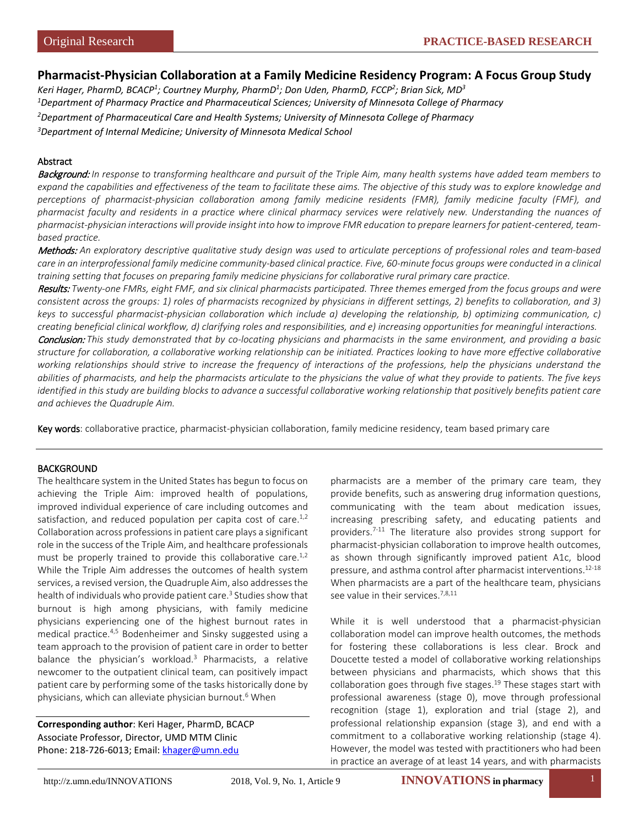# **Pharmacist-Physician Collaboration at a Family Medicine Residency Program: A Focus Group Study**

*Keri Hager, PharmD, BCACP1 ; Courtney Murphy, PharmD1 ; Don Uden, PharmD, FCCP2 ; Brian Sick, MD3 Department of Pharmacy Practice and Pharmaceutical Sciences; University of Minnesota College of Pharmacy Department of Pharmaceutical Care and Health Systems; University of Minnesota College of Pharmacy Department of Internal Medicine; University of Minnesota Medical School*

# Abstract

Background: *In response to transforming healthcare and pursuit of the Triple Aim, many health systems have added team members to expand the capabilities and effectiveness of the team to facilitate these aims. The objective of this study was to explore knowledge and perceptions of pharmacist-physician collaboration among family medicine residents (FMR), family medicine faculty (FMF), and pharmacist faculty and residents in a practice where clinical pharmacy services were relatively new. Understanding the nuances of pharmacist-physician interactions will provide insight into how to improve FMR education to prepare learners for patient-centered, teambased practice.*

Methods: *An exploratory descriptive qualitative study design was used to articulate perceptions of professional roles and team-based care in an interprofessional family medicine community-based clinical practice. Five, 60-minute focus groups were conducted in a clinical training setting that focuses on preparing family medicine physicians for collaborative rural primary care practice.*

Results: *Twenty-one FMRs, eight FMF, and six clinical pharmacists participated. Three themes emerged from the focus groups and were consistent across the groups: 1) roles of pharmacists recognized by physicians in different settings, 2) benefits to collaboration, and 3) keys to successful pharmacist-physician collaboration which include a) developing the relationship, b) optimizing communication, c) creating beneficial clinical workflow, d) clarifying roles and responsibilities, and e) increasing opportunities for meaningful interactions.* Conclusion: *This study demonstrated that by co-locating physicians and pharmacists in the same environment, and providing a basic structure for collaboration, a collaborative working relationship can be initiated. Practices looking to have more effective collaborative working relationships should strive to increase the frequency of interactions of the professions, help the physicians understand the abilities of pharmacists, and help the pharmacists articulate to the physicians the value of what they provide to patients. The five keys identified in this study are building blocks to advance a successful collaborative working relationship that positively benefits patient care and achieves the Quadruple Aim.*

Key words: collaborative practice, pharmacist-physician collaboration, family medicine residency, team based primary care

#### BACKGROUND

The healthcare system in the United States has begun to focus on achieving the Triple Aim: improved health of populations, improved individual experience of care including outcomes and satisfaction, and reduced population per capita cost of care.<sup>1,2</sup> Collaboration across professions in patient care plays a significant role in the success of the Triple Aim, and healthcare professionals must be properly trained to provide this collaborative care.<sup>1,2</sup> While the Triple Aim addresses the outcomes of health system services, a revised version, the Quadruple Aim, also addresses the health of individuals who provide patient care.<sup>3</sup> Studies show that burnout is high among physicians, with family medicine physicians experiencing one of the highest burnout rates in medical practice.4,5 Bodenheimer and Sinsky suggested using a team approach to the provision of patient care in order to better balance the physician's workload.<sup>3</sup> Pharmacists, a relative newcomer to the outpatient clinical team, can positively impact patient care by performing some of the tasks historically done by physicians, which can alleviate physician burnout.<sup>6</sup> When

**Corresponding author**: Keri Hager, PharmD, BCACP Associate Professor, Director, UMD MTM Clinic Phone: 218-726-6013; Email: [khager@umn.edu](mailto:khager@umn.edu)

pharmacists are a member of the primary care team, they provide benefits, such as answering drug information questions, communicating with the team about medication issues, increasing prescribing safety, and educating patients and providers.<sup>7-11</sup> The literature also provides strong support for pharmacist-physician collaboration to improve health outcomes, as shown through significantly improved patient A1c, blood pressure, and asthma control after pharmacist interventions.12-18 When pharmacists are a part of the healthcare team, physicians see value in their services.<sup>7,8,11</sup>

While it is well understood that a pharmacist-physician collaboration model can improve health outcomes, the methods for fostering these collaborations is less clear. Brock and Doucette tested a model of collaborative working relationships between physicians and pharmacists, which shows that this collaboration goes through five stages.<sup>19</sup> These stages start with professional awareness (stage 0), move through professional recognition (stage 1), exploration and trial (stage 2), and professional relationship expansion (stage 3), and end with a commitment to a collaborative working relationship (stage 4). However, the model was tested with practitioners who had been in practice an average of at least 14 years, and with pharmacists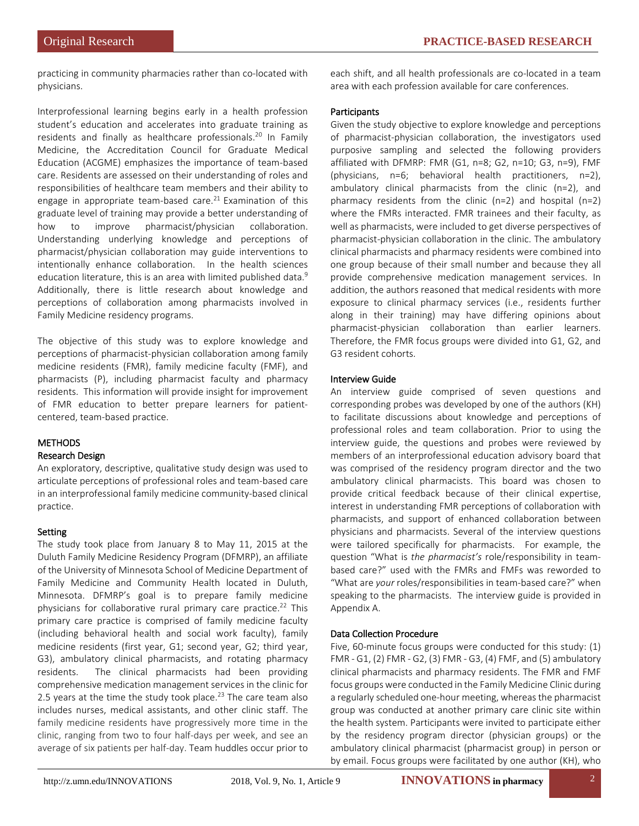practicing in community pharmacies rather than co-located with physicians.

Interprofessional learning begins early in a health profession student's education and accelerates into graduate training as residents and finally as healthcare professionals.<sup>20</sup> In Family Medicine, the Accreditation Council for Graduate Medical Education (ACGME) emphasizes the importance of team-based care. Residents are assessed on their understanding of roles and responsibilities of healthcare team members and their ability to engage in appropriate team-based care.<sup>21</sup> Examination of this graduate level of training may provide a better understanding of how to improve pharmacist/physician collaboration. Understanding underlying knowledge and perceptions of pharmacist/physician collaboration may guide interventions to intentionally enhance collaboration. In the health sciences education literature, this is an area with limited published data.<sup>9</sup> Additionally, there is little research about knowledge and perceptions of collaboration among pharmacists involved in Family Medicine residency programs.

The objective of this study was to explore knowledge and perceptions of pharmacist-physician collaboration among family medicine residents (FMR), family medicine faculty (FMF), and pharmacists (P), including pharmacist faculty and pharmacy residents. This information will provide insight for improvement of FMR education to better prepare learners for patientcentered, team-based practice.

# METHODS

# Research Design

An exploratory, descriptive, qualitative study design was used to articulate perceptions of professional roles and team-based care in an interprofessional family medicine community-based clinical practice.

# Setting

The study took place from January 8 to May 11, 2015 at the Duluth Family Medicine Residency Program (DFMRP), an affiliate of the University of Minnesota School of Medicine Department of Family Medicine and Community Health located in Duluth, Minnesota. DFMRP's goal is to prepare family medicine physicians for collaborative rural primary care practice.<sup>22</sup> This primary care practice is comprised of family medicine faculty (including behavioral health and social work faculty), family medicine residents (first year, G1; second year, G2; third year, G3), ambulatory clinical pharmacists, and rotating pharmacy residents. The clinical pharmacists had been providing comprehensive medication management services in the clinic for 2.5 years at the time the study took place. $^{23}$  The care team also includes nurses, medical assistants, and other clinic staff. The family medicine residents have progressively more time in the clinic, ranging from two to four half-days per week, and see an average of six patients per half-day. Team huddles occur prior to

each shift, and all health professionals are co-located in a team area with each profession available for care conferences.

# **Participants**

Given the study objective to explore knowledge and perceptions of pharmacist-physician collaboration, the investigators used purposive sampling and selected the following providers affiliated with DFMRP: FMR (G1, n=8; G2, n=10; G3, n=9), FMF (physicians, n=6; behavioral health practitioners, n=2), ambulatory clinical pharmacists from the clinic (n=2), and pharmacy residents from the clinic (n=2) and hospital (n=2) where the FMRs interacted. FMR trainees and their faculty, as well as pharmacists, were included to get diverse perspectives of pharmacist-physician collaboration in the clinic. The ambulatory clinical pharmacists and pharmacy residents were combined into one group because of their small number and because they all provide comprehensive medication management services. In addition, the authors reasoned that medical residents with more exposure to clinical pharmacy services (i.e., residents further along in their training) may have differing opinions about pharmacist-physician collaboration than earlier learners. Therefore, the FMR focus groups were divided into G1, G2, and G3 resident cohorts.

# Interview Guide

An interview guide comprised of seven questions and corresponding probes was developed by one of the authors (KH) to facilitate discussions about knowledge and perceptions of professional roles and team collaboration. Prior to using the interview guide, the questions and probes were reviewed by members of an interprofessional education advisory board that was comprised of the residency program director and the two ambulatory clinical pharmacists. This board was chosen to provide critical feedback because of their clinical expertise, interest in understanding FMR perceptions of collaboration with pharmacists, and support of enhanced collaboration between physicians and pharmacists. Several of the interview questions were tailored specifically for pharmacists. For example, the question "What is *the pharmacist's* role/responsibility in teambased care?" used with the FMRs and FMFs was reworded to "What are *your* roles/responsibilities in team-based care?" when speaking to the pharmacists. The interview guide is provided in Appendix A.

# Data Collection Procedure

Five, 60-minute focus groups were conducted for this study: (1) FMR - G1, (2) FMR - G2, (3) FMR - G3, (4) FMF, and (5) ambulatory clinical pharmacists and pharmacy residents. The FMR and FMF focus groups were conducted in the Family Medicine Clinic during a regularly scheduled one-hour meeting, whereas the pharmacist group was conducted at another primary care clinic site within the health system. Participants were invited to participate either by the residency program director (physician groups) or the ambulatory clinical pharmacist (pharmacist group) in person or by email. Focus groups were facilitated by one author (KH), who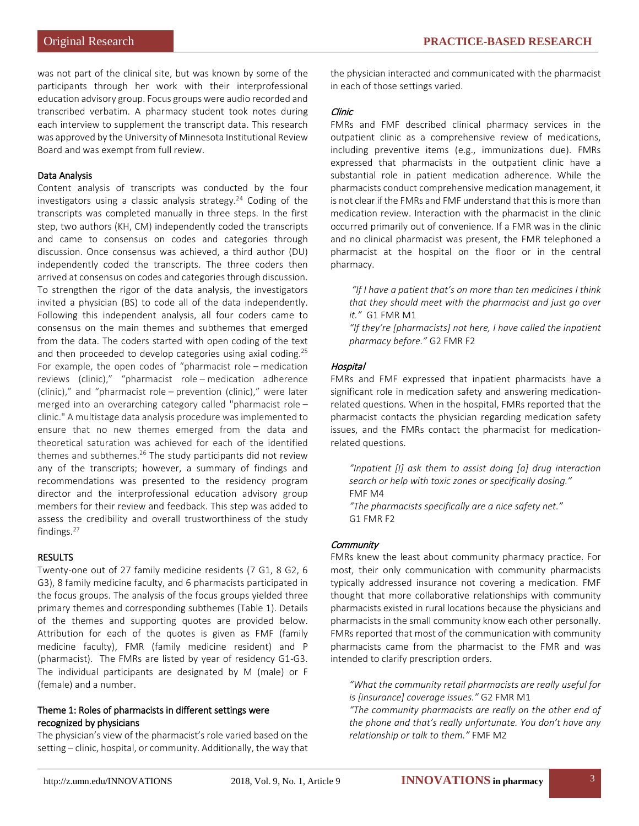was not part of the clinical site, but was known by some of the participants through her work with their interprofessional education advisory group. Focus groups were audio recorded and transcribed verbatim. A pharmacy student took notes during each interview to supplement the transcript data. This research was approved by the University of Minnesota Institutional Review Board and was exempt from full review.

## Data Analysis

Content analysis of transcripts was conducted by the four investigators using a classic analysis strategy. $24$  Coding of the transcripts was completed manually in three steps. In the first step, two authors (KH, CM) independently coded the transcripts and came to consensus on codes and categories through discussion. Once consensus was achieved, a third author (DU) independently coded the transcripts. The three coders then arrived at consensus on codes and categories through discussion. To strengthen the rigor of the data analysis, the investigators invited a physician (BS) to code all of the data independently. Following this independent analysis, all four coders came to consensus on the main themes and subthemes that emerged from the data. The coders started with open coding of the text and then proceeded to develop categories using axial coding.<sup>25</sup> For example, the open codes of "pharmacist role – medication reviews (clinic)," "pharmacist role – medication adherence (clinic)," and "pharmacist role – prevention (clinic)," were later merged into an overarching category called "pharmacist role – clinic." A multistage data analysis procedure was implemented to ensure that no new themes emerged from the data and theoretical saturation was achieved for each of the identified themes and subthemes. $26$  The study participants did not review any of the transcripts; however, a summary of findings and recommendations was presented to the residency program director and the interprofessional education advisory group members for their review and feedback. This step was added to assess the credibility and overall trustworthiness of the study findings.<sup>27</sup>

# RESULTS

Twenty-one out of 27 family medicine residents (7 G1, 8 G2, 6 G3), 8 family medicine faculty, and 6 pharmacists participated in the focus groups. The analysis of the focus groups yielded three primary themes and corresponding subthemes (Table 1). Details of the themes and supporting quotes are provided below. Attribution for each of the quotes is given as FMF (family medicine faculty), FMR (family medicine resident) and P (pharmacist). The FMRs are listed by year of residency G1-G3. The individual participants are designated by M (male) or F (female) and a number.

## Theme 1: Roles of pharmacists in different settings were recognized by physicians

The physician's view of the pharmacist's role varied based on the setting – clinic, hospital, or community. Additionally, the way that the physician interacted and communicated with the pharmacist in each of those settings varied.

## Clinic

FMRs and FMF described clinical pharmacy services in the outpatient clinic as a comprehensive review of medications, including preventive items (e.g., immunizations due). FMRs expressed that pharmacists in the outpatient clinic have a substantial role in patient medication adherence. While the pharmacists conduct comprehensive medication management, it is not clear if the FMRs and FMF understand that this is more than medication review. Interaction with the pharmacist in the clinic occurred primarily out of convenience. If a FMR was in the clinic and no clinical pharmacist was present, the FMR telephoned a pharmacist at the hospital on the floor or in the central pharmacy.

*"If I have a patient that's on more than ten medicines I think that they should meet with the pharmacist and just go over it."* G1 FMR M1

*"If they're [pharmacists] not here, I have called the inpatient pharmacy before."* G2 FMR F2

# Hospital

FMRs and FMF expressed that inpatient pharmacists have a significant role in medication safety and answering medicationrelated questions. When in the hospital, FMRs reported that the pharmacist contacts the physician regarding medication safety issues, and the FMRs contact the pharmacist for medicationrelated questions.

*"Inpatient [I] ask them to assist doing [a] drug interaction search or help with toxic zones or specifically dosing."*  FMF M4

*"The pharmacists specifically are a nice safety net."*  G1 FMR F2

# **Community**

FMRs knew the least about community pharmacy practice. For most, their only communication with community pharmacists typically addressed insurance not covering a medication. FMF thought that more collaborative relationships with community pharmacists existed in rural locations because the physicians and pharmacists in the small community know each other personally. FMRs reported that most of the communication with community pharmacists came from the pharmacist to the FMR and was intended to clarify prescription orders.

*"What the community retail pharmacists are really useful for is [insurance] coverage issues."* G2 FMR M1

*"The community pharmacists are really on the other end of the phone and that's really unfortunate. You don't have any relationship or talk to them."* FMF M2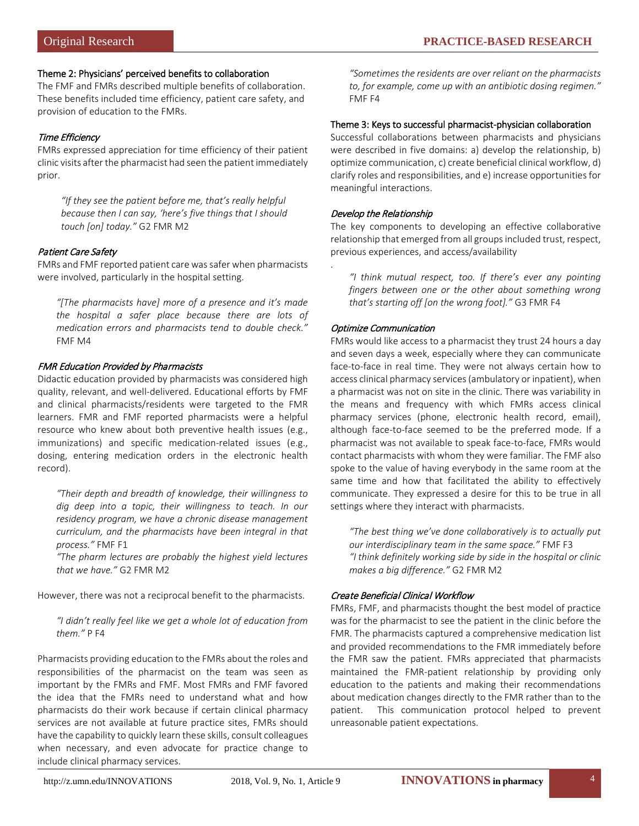### Theme 2: Physicians' perceived benefits to collaboration

The FMF and FMRs described multiple benefits of collaboration. These benefits included time efficiency, patient care safety, and provision of education to the FMRs.

# Time Efficiency

FMRs expressed appreciation for time efficiency of their patient clinic visits after the pharmacist had seen the patient immediately prior.

*"If they see the patient before me, that's really helpful because then I can say, 'here's five things that I should touch [on] today."* G2 FMR M2

# Patient Care Safety

FMRs and FMF reported patient care was safer when pharmacists were involved, particularly in the hospital setting.

*"[The pharmacists have] more of a presence and it's made the hospital a safer place because there are lots of medication errors and pharmacists tend to double check."* FMF M4

## FMR Education Provided by Pharmacists

Didactic education provided by pharmacists was considered high quality, relevant, and well-delivered. Educational efforts by FMF and clinical pharmacists/residents were targeted to the FMR learners. FMR and FMF reported pharmacists were a helpful resource who knew about both preventive health issues (e.g., immunizations) and specific medication-related issues (e.g., dosing, entering medication orders in the electronic health record).

*"Their depth and breadth of knowledge, their willingness to dig deep into a topic, their willingness to teach. In our residency program, we have a chronic disease management curriculum, and the pharmacists have been integral in that process."* FMF F1

*"The pharm lectures are probably the highest yield lectures that we have."* G2 FMR M2

However, there was not a reciprocal benefit to the pharmacists.

*"I didn't really feel like we get a whole lot of education from them."* P F4

Pharmacists providing education to the FMRs about the roles and responsibilities of the pharmacist on the team was seen as important by the FMRs and FMF. Most FMRs and FMF favored the idea that the FMRs need to understand what and how pharmacists do their work because if certain clinical pharmacy services are not available at future practice sites, FMRs should have the capability to quickly learn these skills, consult colleagues when necessary, and even advocate for practice change to include clinical pharmacy services.

*"Sometimes the residents are over reliant on the pharmacists to, for example, come up with an antibiotic dosing regimen."* FMF F4

### Theme 3: Keys to successful pharmacist-physician collaboration

Successful collaborations between pharmacists and physicians were described in five domains: a) develop the relationship, b) optimize communication, c) create beneficial clinical workflow, d) clarify roles and responsibilities, and e) increase opportunities for meaningful interactions.

# Develop the Relationship

.

The key components to developing an effective collaborative relationship that emerged from all groups included trust, respect, previous experiences, and access/availability

*"I think mutual respect, too. If there's ever any pointing fingers between one or the other about something wrong that's starting off [on the wrong foot]."* G3 FMR F4

### Optimize Communication

FMRs would like access to a pharmacist they trust 24 hours a day and seven days a week, especially where they can communicate face-to-face in real time. They were not always certain how to access clinical pharmacy services (ambulatory or inpatient), when a pharmacist was not on site in the clinic. There was variability in the means and frequency with which FMRs access clinical pharmacy services (phone, electronic health record, email), although face-to-face seemed to be the preferred mode. If a pharmacist was not available to speak face-to-face, FMRs would contact pharmacists with whom they were familiar. The FMF also spoke to the value of having everybody in the same room at the same time and how that facilitated the ability to effectively communicate. They expressed a desire for this to be true in all settings where they interact with pharmacists.

*"The best thing we've done collaboratively is to actually put our interdisciplinary team in the same space."* FMF F3 *"I think definitely working side by side in the hospital or clinic makes a big difference."* G2 FMR M2

# Create Beneficial Clinical Workflow

FMRs, FMF, and pharmacists thought the best model of practice was for the pharmacist to see the patient in the clinic before the FMR. The pharmacists captured a comprehensive medication list and provided recommendations to the FMR immediately before the FMR saw the patient. FMRs appreciated that pharmacists maintained the FMR-patient relationship by providing only education to the patients and making their recommendations about medication changes directly to the FMR rather than to the patient. This communication protocol helped to prevent unreasonable patient expectations.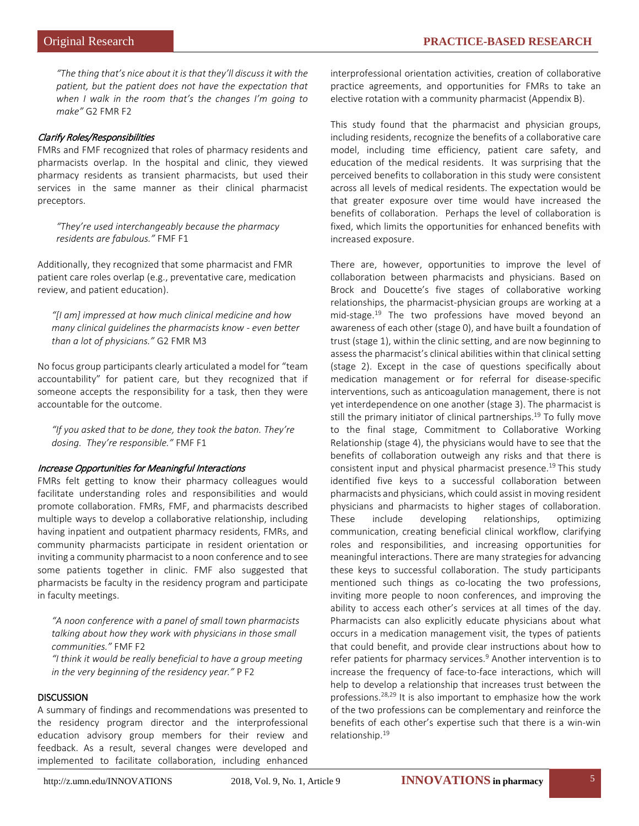*"The thing that's nice about it is that they'll discuss it with the patient, but the patient does not have the expectation that when I walk in the room that's the changes I'm going to make"* G2 FMR F2

#### Clarify Roles/Responsibilities

FMRs and FMF recognized that roles of pharmacy residents and pharmacists overlap. In the hospital and clinic, they viewed pharmacy residents as transient pharmacists, but used their services in the same manner as their clinical pharmacist preceptors.

*"They're used interchangeably because the pharmacy residents are fabulous."* FMF F1

Additionally, they recognized that some pharmacist and FMR patient care roles overlap (e.g., preventative care, medication review, and patient education).

*"[I am] impressed at how much clinical medicine and how many clinical guidelines the pharmacists know - even better than a lot of physicians."* G2 FMR M3

No focus group participants clearly articulated a model for "team accountability" for patient care, but they recognized that if someone accepts the responsibility for a task, then they were accountable for the outcome.

*"If you asked that to be done, they took the baton. They're dosing. They're responsible."* FMF F1

#### Increase Opportunities for Meaningful Interactions

FMRs felt getting to know their pharmacy colleagues would facilitate understanding roles and responsibilities and would promote collaboration. FMRs, FMF, and pharmacists described multiple ways to develop a collaborative relationship, including having inpatient and outpatient pharmacy residents, FMRs, and community pharmacists participate in resident orientation or inviting a community pharmacist to a noon conference and to see some patients together in clinic. FMF also suggested that pharmacists be faculty in the residency program and participate in faculty meetings.

*"A noon conference with a panel of small town pharmacists talking about how they work with physicians in those small communities."* FMF F2 *"I think it would be really beneficial to have a group meeting* 

*in the very beginning of the residency year."* P F2

#### **DISCUSSION**

A summary of findings and recommendations was presented to the residency program director and the interprofessional education advisory group members for their review and feedback. As a result, several changes were developed and implemented to facilitate collaboration, including enhanced interprofessional orientation activities, creation of collaborative practice agreements, and opportunities for FMRs to take an elective rotation with a community pharmacist (Appendix B).

This study found that the pharmacist and physician groups, including residents, recognize the benefits of a collaborative care model, including time efficiency, patient care safety, and education of the medical residents. It was surprising that the perceived benefits to collaboration in this study were consistent across all levels of medical residents. The expectation would be that greater exposure over time would have increased the benefits of collaboration. Perhaps the level of collaboration is fixed, which limits the opportunities for enhanced benefits with increased exposure.

There are, however, opportunities to improve the level of collaboration between pharmacists and physicians. Based on Brock and Doucette's five stages of collaborative working relationships, the pharmacist-physician groups are working at a mid-stage.19 The two professions have moved beyond an awareness of each other (stage 0), and have built a foundation of trust (stage 1), within the clinic setting, and are now beginning to assess the pharmacist's clinical abilities within that clinical setting (stage 2). Except in the case of questions specifically about medication management or for referral for disease-specific interventions, such as anticoagulation management, there is not yet interdependence on one another (stage 3). The pharmacist is still the primary initiator of clinical partnerships.<sup>19</sup> To fully move to the final stage, Commitment to Collaborative Working Relationship (stage 4), the physicians would have to see that the benefits of collaboration outweigh any risks and that there is consistent input and physical pharmacist presence.19 This study identified five keys to a successful collaboration between pharmacists and physicians, which could assist in moving resident physicians and pharmacists to higher stages of collaboration. These include developing relationships, optimizing communication, creating beneficial clinical workflow, clarifying roles and responsibilities, and increasing opportunities for meaningful interactions. There are many strategies for advancing these keys to successful collaboration. The study participants mentioned such things as co-locating the two professions, inviting more people to noon conferences, and improving the ability to access each other's services at all times of the day. Pharmacists can also explicitly educate physicians about what occurs in a medication management visit, the types of patients that could benefit, and provide clear instructions about how to refer patients for pharmacy services.<sup>9</sup> Another intervention is to increase the frequency of face-to-face interactions, which will help to develop a relationship that increases trust between the professions.28,29 It is also important to emphasize how the work of the two professions can be complementary and reinforce the benefits of each other's expertise such that there is a win-win relationship.19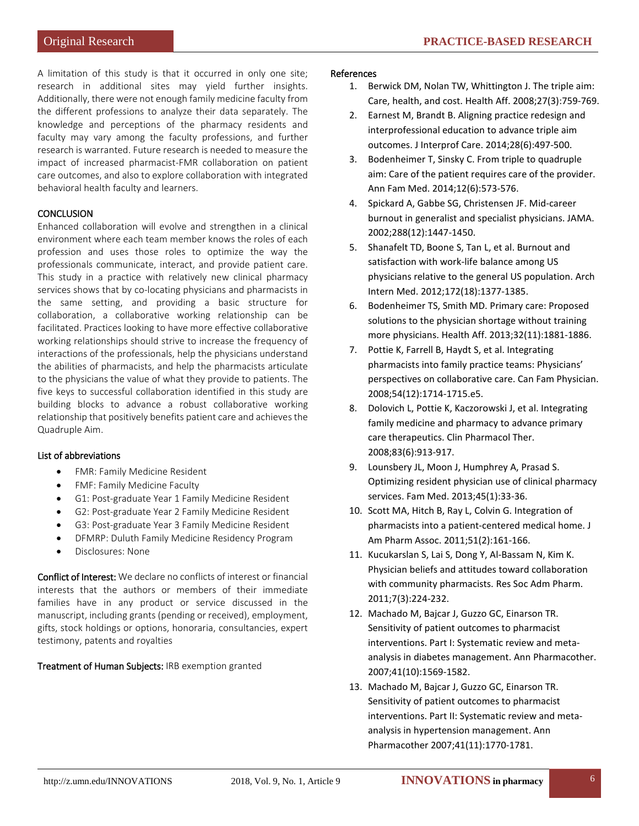A limitation of this study is that it occurred in only one site; research in additional sites may yield further insights. Additionally, there were not enough family medicine faculty from the different professions to analyze their data separately. The knowledge and perceptions of the pharmacy residents and faculty may vary among the faculty professions, and further research is warranted. Future research is needed to measure the impact of increased pharmacist-FMR collaboration on patient care outcomes, and also to explore collaboration with integrated behavioral health faculty and learners.

# **CONCLUSION**

Enhanced collaboration will evolve and strengthen in a clinical environment where each team member knows the roles of each profession and uses those roles to optimize the way the professionals communicate, interact, and provide patient care. This study in a practice with relatively new clinical pharmacy services shows that by co-locating physicians and pharmacists in the same setting, and providing a basic structure for collaboration, a collaborative working relationship can be facilitated. Practices looking to have more effective collaborative working relationships should strive to increase the frequency of interactions of the professionals, help the physicians understand the abilities of pharmacists, and help the pharmacists articulate to the physicians the value of what they provide to patients. The five keys to successful collaboration identified in this study are building blocks to advance a robust collaborative working relationship that positively benefits patient care and achieves the Quadruple Aim.

# List of abbreviations

- FMR: Family Medicine Resident
- FMF: Family Medicine Faculty
- G1: Post-graduate Year 1 Family Medicine Resident
- G2: Post-graduate Year 2 Family Medicine Resident
- G3: Post-graduate Year 3 Family Medicine Resident
- DFMRP: Duluth Family Medicine Residency Program
- Disclosures: None

Conflict of Interest: We declare no conflicts of interest or financial interests that the authors or members of their immediate families have in any product or service discussed in the manuscript, including grants (pending or received), employment, gifts, stock holdings or options, honoraria, consultancies, expert testimony, patents and royalties

# Treatment of Human Subjects: IRB exemption granted

### References

- 1. Berwick DM, Nolan TW, Whittington J. The triple aim: Care, health, and cost. Health Aff. 2008;27(3):759-769.
- 2. Earnest M, Brandt B. Aligning practice redesign and interprofessional education to advance triple aim outcomes. J Interprof Care. 2014;28(6):497-500.
- 3. Bodenheimer T, Sinsky C. From triple to quadruple aim: Care of the patient requires care of the provider. Ann Fam Med. 2014;12(6):573-576.
- 4. Spickard A, Gabbe SG, Christensen JF. Mid-career burnout in generalist and specialist physicians. JAMA. 2002;288(12):1447-1450.
- 5. Shanafelt TD, Boone S, Tan L, et al. Burnout and satisfaction with work-life balance among US physicians relative to the general US population. Arch Intern Med. 2012;172(18):1377-1385.
- 6. Bodenheimer TS, Smith MD. Primary care: Proposed solutions to the physician shortage without training more physicians. Health Aff. 2013;32(11):1881-1886.
- 7. Pottie K, Farrell B, Haydt S, et al. Integrating pharmacists into family practice teams: Physicians' perspectives on collaborative care. Can Fam Physician. 2008;54(12):1714-1715.e5.
- 8. Dolovich L, Pottie K, Kaczorowski J, et al. Integrating family medicine and pharmacy to advance primary care therapeutics. Clin Pharmacol Ther. 2008;83(6):913-917.
- 9. Lounsbery JL, Moon J, Humphrey A, Prasad S. Optimizing resident physician use of clinical pharmacy services. Fam Med. 2013;45(1):33-36.
- 10. Scott MA, Hitch B, Ray L, Colvin G. Integration of pharmacists into a patient-centered medical home. J Am Pharm Assoc. 2011;51(2):161-166.
- 11. Kucukarslan S, Lai S, Dong Y, Al-Bassam N, Kim K. Physician beliefs and attitudes toward collaboration with community pharmacists. Res Soc Adm Pharm. 2011;7(3):224-232.
- 12. Machado M, Bajcar J, Guzzo GC, Einarson TR. Sensitivity of patient outcomes to pharmacist interventions. Part I: Systematic review and metaanalysis in diabetes management. Ann Pharmacother. 2007;41(10):1569-1582.
- 13. Machado M, Bajcar J, Guzzo GC, Einarson TR. Sensitivity of patient outcomes to pharmacist interventions. Part II: Systematic review and metaanalysis in hypertension management. Ann Pharmacother 2007;41(11):1770-1781.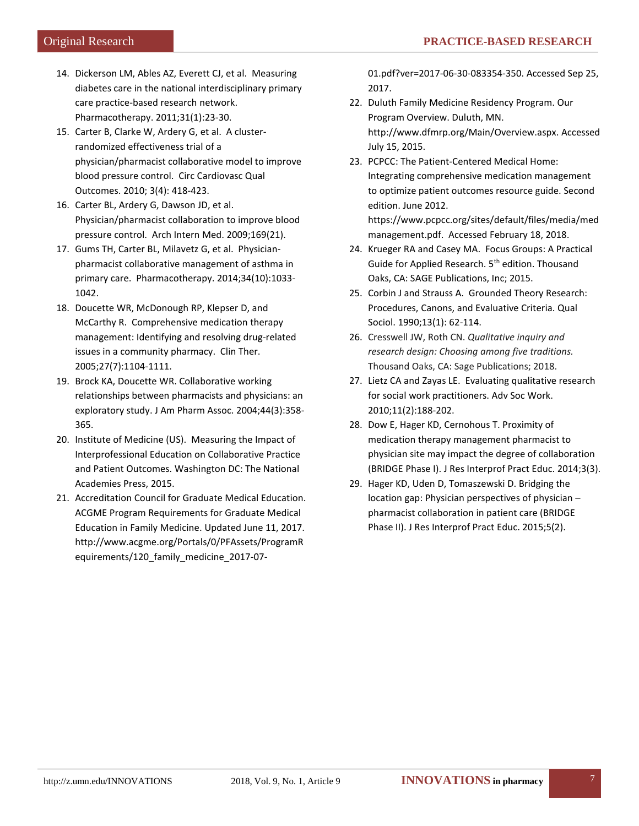- 14. Dickerson LM, Ables AZ, Everett CJ, et al. Measuring diabetes care in the national interdisciplinary primary care practice-based research network. Pharmacotherapy. 2011;31(1):23-30.
- 15. Carter B, Clarke W, Ardery G, et al. A clusterrandomized effectiveness trial of a physician/pharmacist collaborative model to improve blood pressure control. Circ Cardiovasc Qual Outcomes. 2010; 3(4): 418-423.
- 16. Carter BL, Ardery G, Dawson JD, et al. Physician/pharmacist collaboration to improve blood pressure control. Arch Intern Med. 2009;169(21).
- 17. Gums TH, Carter BL, Milavetz G, et al. Physicianpharmacist collaborative management of asthma in primary care. Pharmacotherapy. 2014;34(10):1033- 1042.
- 18. Doucette WR, McDonough RP, Klepser D, and McCarthy R. Comprehensive medication therapy management: Identifying and resolving drug-related issues in a community pharmacy. Clin Ther. 2005;27(7):1104-1111.
- 19. Brock KA, Doucette WR. Collaborative working relationships between pharmacists and physicians: an exploratory study. J Am Pharm Assoc. 2004;44(3):358- 365.
- 20. Institute of Medicine (US). Measuring the Impact of Interprofessional Education on Collaborative Practice and Patient Outcomes. Washington DC: The National Academies Press, 2015.
- 21. Accreditation Council for Graduate Medical Education. ACGME Program Requirements for Graduate Medical Education in Family Medicine. Updated June 11, 2017. [http://www.acgme.org/Portals/0/PFAssets/ProgramR](http://www.acgme.org/Portals/0/PFAssets/ProgramRequirements/120_family_medicine_2017-07-01.pdf?ver=2017-06-30-083354-350) [equirements/120\\_family\\_medicine\\_2017-07-](http://www.acgme.org/Portals/0/PFAssets/ProgramRequirements/120_family_medicine_2017-07-01.pdf?ver=2017-06-30-083354-350)

[01.pdf?ver=2017-06-30-083354-350.](http://www.acgme.org/Portals/0/PFAssets/ProgramRequirements/120_family_medicine_2017-07-01.pdf?ver=2017-06-30-083354-350) Accessed Sep 25, 2017.

- 22. Duluth Family Medicine Residency Program. Our Program Overview. Duluth, MN. http://www.dfmrp.org/Main/Overview.aspx. Accessed July 15, 2015.
- 23. PCPCC: The Patient-Centered Medical Home: Integrating comprehensive medication management to optimize patient outcomes resource guide. Second edition. June 2012. [https://www.pcpcc.org/sites/default/files/media/med](https://www.pcpcc.org/sites/default/files/media/medmanagement.pdf) [management.pdf.](https://www.pcpcc.org/sites/default/files/media/medmanagement.pdf) Accessed February 18, 2018.
- 24. Krueger RA and Casey MA. Focus Groups: A Practical Guide for Applied Research. 5<sup>th</sup> edition. Thousand Oaks, CA: SAGE Publications, Inc; 2015.
- 25. Corbin J and Strauss A. Grounded Theory Research: Procedures, Canons, and Evaluative Criteria. Qual Sociol. 1990;13(1): 62-114.
- 26. Cresswell JW, Roth CN. *Qualitative inquiry and research design: Choosing among five traditions.* Thousand Oaks, CA: Sage Publications; 2018.
- 27. Lietz CA and Zayas LE. Evaluating qualitative research for social work practitioners. Adv Soc Work. 2010;11(2):188-202.
- 28. Dow E, Hager KD, Cernohous T. Proximity of medication therapy management pharmacist to physician site may impact the degree of collaboration (BRIDGE Phase I). J Res Interprof Pract Educ. 2014;3(3).
- 29. Hager KD, Uden D, Tomaszewski D. Bridging the location gap: Physician perspectives of physician – pharmacist collaboration in patient care (BRIDGE Phase II). J Res Interprof Pract Educ. 2015;5(2).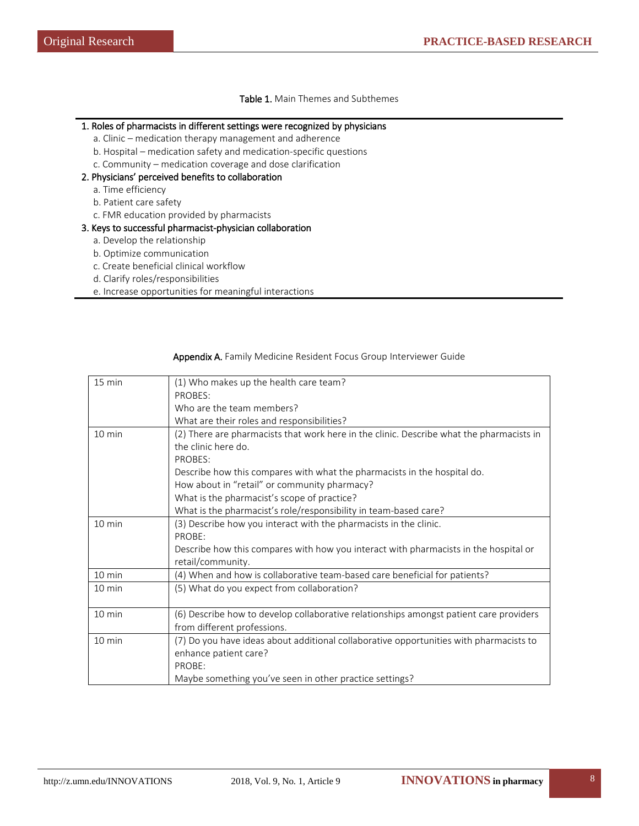# Table 1. Main Themes and Subthemes

## 1. Roles of pharmacists in different settings were recognized by physicians

- a. Clinic medication therapy management and adherence
- b. Hospital medication safety and medication-specific questions
- c. Community medication coverage and dose clarification

#### 2. Physicians' perceived benefits to collaboration

- a. Time efficiency
- b. Patient care safety
- c. FMR education provided by pharmacists

#### 3. Keys to successful pharmacist-physician collaboration

- a. Develop the relationship
- b. Optimize communication
- c. Create beneficial clinical workflow
- d. Clarify roles/responsibilities
- e. Increase opportunities for meaningful interactions

| $15 \text{ min}$ | (1) Who makes up the health care team?                                                   |
|------------------|------------------------------------------------------------------------------------------|
|                  | PROBES:                                                                                  |
|                  | Who are the team members?                                                                |
|                  | What are their roles and responsibilities?                                               |
| $10 \text{ min}$ | (2) There are pharmacists that work here in the clinic. Describe what the pharmacists in |
|                  | the clinic here do.                                                                      |
|                  | PROBES:                                                                                  |
|                  | Describe how this compares with what the pharmacists in the hospital do.                 |
|                  | How about in "retail" or community pharmacy?                                             |
|                  | What is the pharmacist's scope of practice?                                              |
|                  | What is the pharmacist's role/responsibility in team-based care?                         |
| $10 \text{ min}$ | (3) Describe how you interact with the pharmacists in the clinic.                        |
|                  | PROBE:                                                                                   |
|                  | Describe how this compares with how you interact with pharmacists in the hospital or     |
|                  | retail/community.                                                                        |
| 10 min           | (4) When and how is collaborative team-based care beneficial for patients?               |
| $10 \text{ min}$ | (5) What do you expect from collaboration?                                               |
|                  |                                                                                          |
| 10 min           | (6) Describe how to develop collaborative relationships amongst patient care providers   |
|                  | from different professions.                                                              |
| 10 min           | (7) Do you have ideas about additional collaborative opportunities with pharmacists to   |
|                  | enhance patient care?                                                                    |
|                  | PROBE:                                                                                   |
|                  | Maybe something you've seen in other practice settings?                                  |

#### Appendix A. Family Medicine Resident Focus Group Interviewer Guide